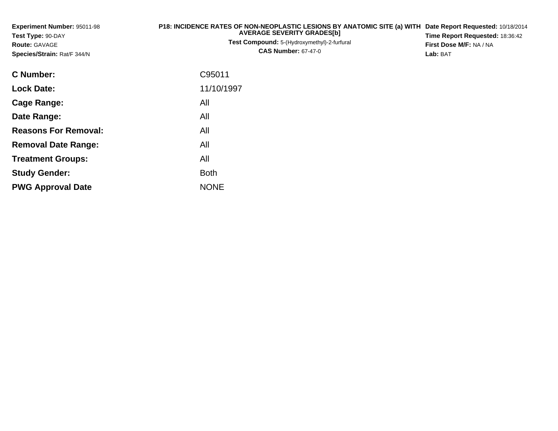| Experiment Number: 95011-98<br>Test Type: 90-DAY<br><b>Route: GAVAGE</b><br>Species/Strain: Rat/F 344/N | P18: INCIDENCE RATES OF NON-NEOPLASTIC LESIONS BY ANATOMIC SITE (a) WITH Date Report Requested: 10/18/2014<br><b>AVERAGE SEVERITY GRADES[b]</b><br>Test Compound: 5-(Hydroxymethyl)-2-furfural<br><b>CAS Number: 67-47-0</b> | Time Report Requested: 18:36:42<br>First Dose M/F: NA / NA<br>Lab: BAT |
|---------------------------------------------------------------------------------------------------------|------------------------------------------------------------------------------------------------------------------------------------------------------------------------------------------------------------------------------|------------------------------------------------------------------------|
| <b>C</b> Number:                                                                                        | C95011                                                                                                                                                                                                                       |                                                                        |
| <b>Lock Date:</b>                                                                                       | 11/10/1997                                                                                                                                                                                                                   |                                                                        |
| <b>Cage Range:</b>                                                                                      | All                                                                                                                                                                                                                          |                                                                        |
| Date Range:                                                                                             | All                                                                                                                                                                                                                          |                                                                        |
| <b>Reasons For Removal:</b>                                                                             | All                                                                                                                                                                                                                          |                                                                        |
| <b>Removal Date Range:</b>                                                                              | All                                                                                                                                                                                                                          |                                                                        |
| <b>Treatment Groups:</b>                                                                                | All                                                                                                                                                                                                                          |                                                                        |
| <b>Study Gender:</b>                                                                                    | <b>Both</b>                                                                                                                                                                                                                  |                                                                        |

e NONE

**PWG Approval Date**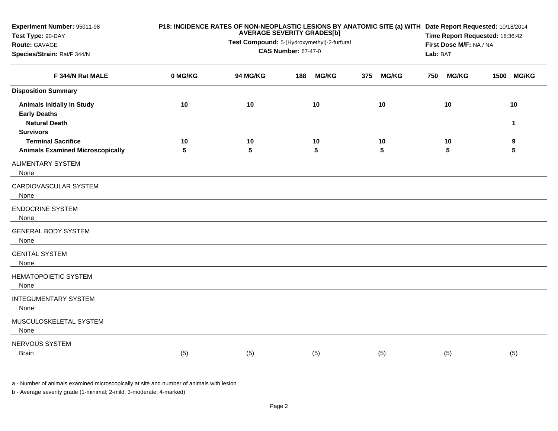| Experiment Number: 95011-98<br>Test Type: 90-DAY<br>Route: GAVAGE<br>Species/Strain: Rat/F 344/N | P18: INCIDENCE RATES OF NON-NEOPLASTIC LESIONS BY ANATOMIC SITE (a) WITH Date Report Requested: 10/18/2014<br><b>AVERAGE SEVERITY GRADES[b]</b><br>Test Compound: 5-(Hydroxymethyl)-2-furfural<br><b>CAS Number: 67-47-0</b> |          |     |              |     |              |     | Time Report Requested: 18:36:42<br>First Dose M/F: NA / NA<br>Lab: BAT |      |                   |
|--------------------------------------------------------------------------------------------------|------------------------------------------------------------------------------------------------------------------------------------------------------------------------------------------------------------------------------|----------|-----|--------------|-----|--------------|-----|------------------------------------------------------------------------|------|-------------------|
| F 344/N Rat MALE                                                                                 | 0 MG/KG                                                                                                                                                                                                                      | 94 MG/KG | 188 | <b>MG/KG</b> | 375 | <b>MG/KG</b> | 750 | <b>MG/KG</b>                                                           | 1500 | <b>MG/KG</b>      |
| <b>Disposition Summary</b>                                                                       |                                                                                                                                                                                                                              |          |     |              |     |              |     |                                                                        |      |                   |
| <b>Animals Initially In Study</b><br><b>Early Deaths</b><br><b>Natural Death</b>                 | 10                                                                                                                                                                                                                           | 10       |     | 10           |     | 10           |     | 10                                                                     |      | 10<br>$\mathbf 1$ |
| <b>Survivors</b>                                                                                 |                                                                                                                                                                                                                              |          |     |              |     |              |     |                                                                        |      |                   |
| <b>Terminal Sacrifice</b><br><b>Animals Examined Microscopically</b>                             | 10<br>5                                                                                                                                                                                                                      | 10<br>5  |     | 10<br>5      |     | 10<br>5      |     | 10<br>5                                                                |      | 9<br>5            |
| <b>ALIMENTARY SYSTEM</b><br>None                                                                 |                                                                                                                                                                                                                              |          |     |              |     |              |     |                                                                        |      |                   |
| CARDIOVASCULAR SYSTEM<br>None                                                                    |                                                                                                                                                                                                                              |          |     |              |     |              |     |                                                                        |      |                   |
| <b>ENDOCRINE SYSTEM</b><br>None                                                                  |                                                                                                                                                                                                                              |          |     |              |     |              |     |                                                                        |      |                   |
| <b>GENERAL BODY SYSTEM</b><br>None                                                               |                                                                                                                                                                                                                              |          |     |              |     |              |     |                                                                        |      |                   |
| <b>GENITAL SYSTEM</b><br>None                                                                    |                                                                                                                                                                                                                              |          |     |              |     |              |     |                                                                        |      |                   |
| <b>HEMATOPOIETIC SYSTEM</b><br>None                                                              |                                                                                                                                                                                                                              |          |     |              |     |              |     |                                                                        |      |                   |
| <b>INTEGUMENTARY SYSTEM</b><br>None                                                              |                                                                                                                                                                                                                              |          |     |              |     |              |     |                                                                        |      |                   |
| MUSCULOSKELETAL SYSTEM<br>None                                                                   |                                                                                                                                                                                                                              |          |     |              |     |              |     |                                                                        |      |                   |
| NERVOUS SYSTEM<br><b>Brain</b>                                                                   | (5)                                                                                                                                                                                                                          | (5)      |     | (5)          |     | (5)          |     | (5)                                                                    |      | (5)               |

a - Number of animals examined microscopically at site and number of animals with lesion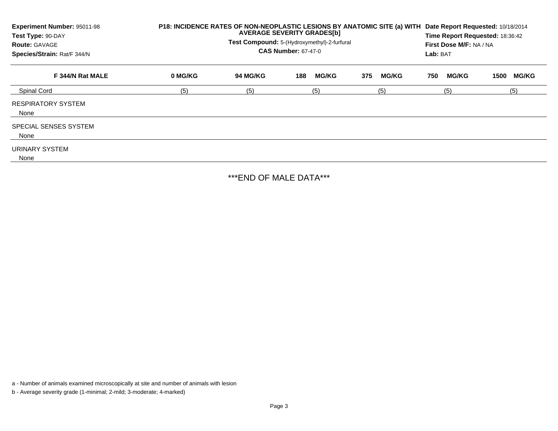| Experiment Number: 95011-98<br>Test Type: 90-DAY<br><b>Route: GAVAGE</b><br>Species/Strain: Rat/F 344/N | P18: INCIDENCE RATES OF NON-NEOPLASTIC LESIONS BY ANATOMIC SITE (a) WITH<br><b>AVERAGE SEVERITY GRADES[b]</b><br>Test Compound: 5-(Hydroxymethyl)-2-furfural<br><b>CAS Number: 67-47-0</b> |          |                     |                     |                     | Date Report Requested: 10/18/2014<br>Time Report Requested: 18:36:42<br>First Dose M/F: NA / NA<br>Lab: BAT |  |  |  |
|---------------------------------------------------------------------------------------------------------|--------------------------------------------------------------------------------------------------------------------------------------------------------------------------------------------|----------|---------------------|---------------------|---------------------|-------------------------------------------------------------------------------------------------------------|--|--|--|
| F 344/N Rat MALE                                                                                        | 0 MG/KG                                                                                                                                                                                    | 94 MG/KG | <b>MG/KG</b><br>188 | <b>MG/KG</b><br>375 | <b>MG/KG</b><br>750 | <b>MG/KG</b><br>1500                                                                                        |  |  |  |
| <b>Spinal Cord</b>                                                                                      | (5)                                                                                                                                                                                        | (5)      | (5)                 | (5)                 | (5)                 | (5)                                                                                                         |  |  |  |
| <b>RESPIRATORY SYSTEM</b><br>None                                                                       |                                                                                                                                                                                            |          |                     |                     |                     |                                                                                                             |  |  |  |
| SPECIAL SENSES SYSTEM<br>None                                                                           |                                                                                                                                                                                            |          |                     |                     |                     |                                                                                                             |  |  |  |
| URINARY SYSTEM<br>None                                                                                  |                                                                                                                                                                                            |          |                     |                     |                     |                                                                                                             |  |  |  |

\*\*\*END OF MALE DATA\*\*\*

a - Number of animals examined microscopically at site and number of animals with lesion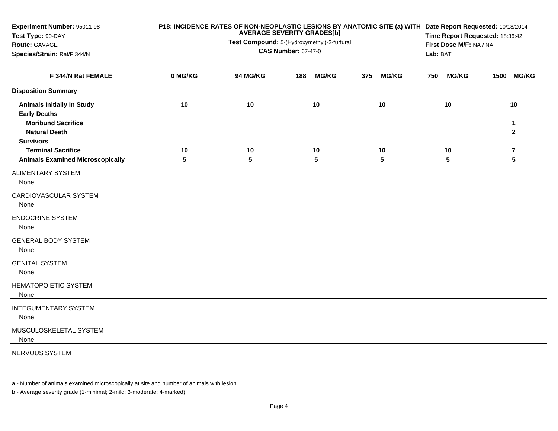| Experiment Number: 95011-98<br>Test Type: 90-DAY                                                              | P18: INCIDENCE RATES OF NON-NEOPLASTIC LESIONS BY ANATOMIC SITE (a) WITH Date Report Requested: 10/18/2014<br><b>AVERAGE SEVERITY GRADES[b]</b> |                                                                           |     |              |     |              |     | Time Report Requested: 18:36:42 |                                     |                         |  |  |
|---------------------------------------------------------------------------------------------------------------|-------------------------------------------------------------------------------------------------------------------------------------------------|---------------------------------------------------------------------------|-----|--------------|-----|--------------|-----|---------------------------------|-------------------------------------|-------------------------|--|--|
| Route: GAVAGE                                                                                                 |                                                                                                                                                 | Test Compound: 5-(Hydroxymethyl)-2-furfural<br><b>CAS Number: 67-47-0</b> |     |              |     |              |     |                                 | First Dose M/F: NA / NA<br>Lab: BAT |                         |  |  |
| Species/Strain: Rat/F 344/N                                                                                   |                                                                                                                                                 |                                                                           |     |              |     |              |     |                                 |                                     |                         |  |  |
| F 344/N Rat FEMALE                                                                                            | 0 MG/KG                                                                                                                                         | 94 MG/KG                                                                  | 188 | <b>MG/KG</b> | 375 | <b>MG/KG</b> | 750 | <b>MG/KG</b>                    | 1500                                | <b>MG/KG</b>            |  |  |
| <b>Disposition Summary</b>                                                                                    |                                                                                                                                                 |                                                                           |     |              |     |              |     |                                 |                                     |                         |  |  |
| <b>Animals Initially In Study</b><br><b>Early Deaths</b><br><b>Moribund Sacrifice</b><br><b>Natural Death</b> | 10                                                                                                                                              | 10                                                                        |     | 10           |     | 10           |     | 10                              |                                     | 10<br>1<br>$\mathbf{2}$ |  |  |
| <b>Survivors</b><br><b>Terminal Sacrifice</b><br><b>Animals Examined Microscopically</b>                      | 10<br>5                                                                                                                                         | 10<br>5                                                                   |     | 10<br>5      |     | 10<br>5      |     | 10<br>5                         |                                     | 7<br>5                  |  |  |
| <b>ALIMENTARY SYSTEM</b><br>None                                                                              |                                                                                                                                                 |                                                                           |     |              |     |              |     |                                 |                                     |                         |  |  |
| CARDIOVASCULAR SYSTEM<br>None                                                                                 |                                                                                                                                                 |                                                                           |     |              |     |              |     |                                 |                                     |                         |  |  |
| <b>ENDOCRINE SYSTEM</b><br>None                                                                               |                                                                                                                                                 |                                                                           |     |              |     |              |     |                                 |                                     |                         |  |  |
| <b>GENERAL BODY SYSTEM</b><br>None                                                                            |                                                                                                                                                 |                                                                           |     |              |     |              |     |                                 |                                     |                         |  |  |
| <b>GENITAL SYSTEM</b><br>None                                                                                 |                                                                                                                                                 |                                                                           |     |              |     |              |     |                                 |                                     |                         |  |  |
| <b>HEMATOPOIETIC SYSTEM</b><br>None                                                                           |                                                                                                                                                 |                                                                           |     |              |     |              |     |                                 |                                     |                         |  |  |
| <b>INTEGUMENTARY SYSTEM</b><br>None                                                                           |                                                                                                                                                 |                                                                           |     |              |     |              |     |                                 |                                     |                         |  |  |
| MUSCULOSKELETAL SYSTEM<br>None                                                                                |                                                                                                                                                 |                                                                           |     |              |     |              |     |                                 |                                     |                         |  |  |

NERVOUS SYSTEM

a - Number of animals examined microscopically at site and number of animals with lesion